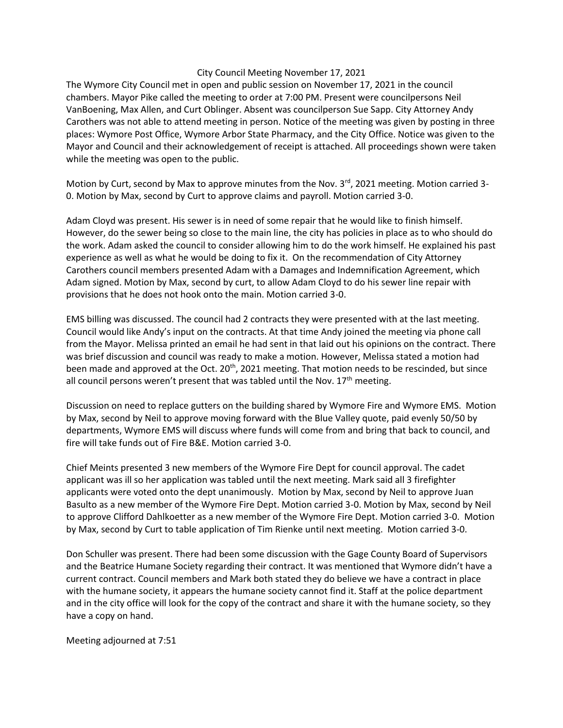## City Council Meeting November 17, 2021

The Wymore City Council met in open and public session on November 17, 2021 in the council chambers. Mayor Pike called the meeting to order at 7:00 PM. Present were councilpersons Neil VanBoening, Max Allen, and Curt Oblinger. Absent was councilperson Sue Sapp. City Attorney Andy Carothers was not able to attend meeting in person. Notice of the meeting was given by posting in three places: Wymore Post Office, Wymore Arbor State Pharmacy, and the City Office. Notice was given to the Mayor and Council and their acknowledgement of receipt is attached. All proceedings shown were taken while the meeting was open to the public.

Motion by Curt, second by Max to approve minutes from the Nov.  $3<sup>rd</sup>$ , 2021 meeting. Motion carried 3-0. Motion by Max, second by Curt to approve claims and payroll. Motion carried 3-0.

Adam Cloyd was present. His sewer is in need of some repair that he would like to finish himself. However, do the sewer being so close to the main line, the city has policies in place as to who should do the work. Adam asked the council to consider allowing him to do the work himself. He explained his past experience as well as what he would be doing to fix it. On the recommendation of City Attorney Carothers council members presented Adam with a Damages and Indemnification Agreement, which Adam signed. Motion by Max, second by curt, to allow Adam Cloyd to do his sewer line repair with provisions that he does not hook onto the main. Motion carried 3-0.

EMS billing was discussed. The council had 2 contracts they were presented with at the last meeting. Council would like Andy's input on the contracts. At that time Andy joined the meeting via phone call from the Mayor. Melissa printed an email he had sent in that laid out his opinions on the contract. There was brief discussion and council was ready to make a motion. However, Melissa stated a motion had been made and approved at the Oct. 20<sup>th</sup>, 2021 meeting. That motion needs to be rescinded, but since all council persons weren't present that was tabled until the Nov.  $17<sup>th</sup>$  meeting.

Discussion on need to replace gutters on the building shared by Wymore Fire and Wymore EMS. Motion by Max, second by Neil to approve moving forward with the Blue Valley quote, paid evenly 50/50 by departments, Wymore EMS will discuss where funds will come from and bring that back to council, and fire will take funds out of Fire B&E. Motion carried 3-0.

Chief Meints presented 3 new members of the Wymore Fire Dept for council approval. The cadet applicant was ill so her application was tabled until the next meeting. Mark said all 3 firefighter applicants were voted onto the dept unanimously. Motion by Max, second by Neil to approve Juan Basulto as a new member of the Wymore Fire Dept. Motion carried 3-0. Motion by Max, second by Neil to approve Clifford Dahlkoetter as a new member of the Wymore Fire Dept. Motion carried 3-0. Motion by Max, second by Curt to table application of Tim Rienke until next meeting. Motion carried 3-0.

Don Schuller was present. There had been some discussion with the Gage County Board of Supervisors and the Beatrice Humane Society regarding their contract. It was mentioned that Wymore didn't have a current contract. Council members and Mark both stated they do believe we have a contract in place with the humane society, it appears the humane society cannot find it. Staff at the police department and in the city office will look for the copy of the contract and share it with the humane society, so they have a copy on hand.

Meeting adjourned at 7:51